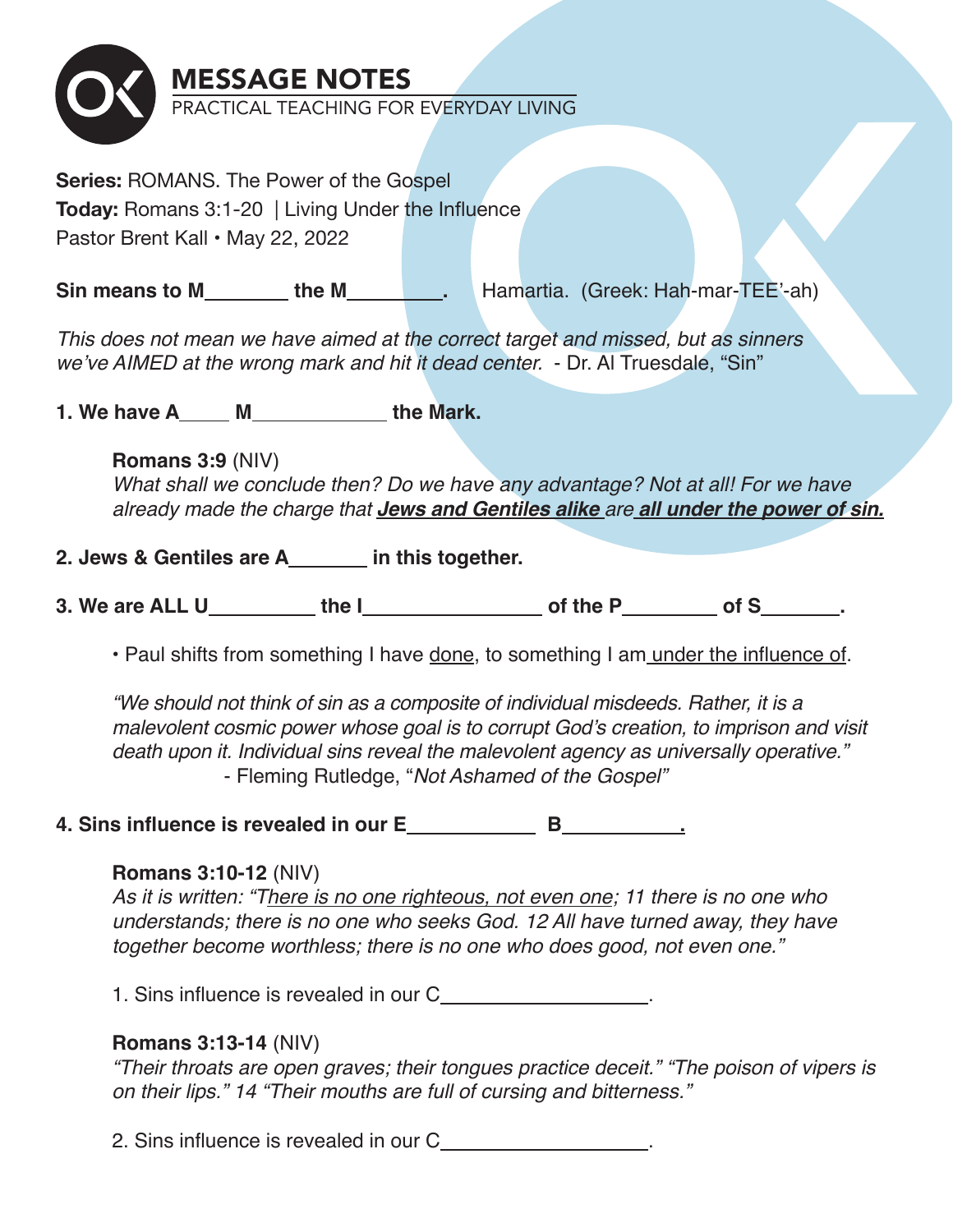

**Series:** ROMANS. The Power of the Gospel **Today:** Romans 3:1-20 | Living Under the Influence Pastor Brent Kall • May 22, 2022

**Sin means to M the M hamartia.** (Greek: Hah-mar-TEE'-ah)

*This does not mean we have aimed at the correct target and missed, but as sinners we've AIMED at the wrong mark and hit it dead center.* - Dr. Al Truesdale, "Sin"

**1. We have A M detect Ref** the Mark.

## **Romans 3:9** (NIV)

*What shall we conclude then? Do we have any advantage? Not at all! For we have already made the charge that Jews and Gentiles alike are all under the power of sin.*

# 2. Jews & Gentiles are A\_\_\_\_\_\_\_ in this together.

**3. We are ALL U** the I of the P of S .

• Paul shifts from something I have done, to something I am under the influence of.

*"We should not think of sin as a composite of individual misdeeds. Rather, it is a malevolent cosmic power whose goal is to corrupt God's creation, to imprison and visit death upon it. Individual sins reveal the malevolent agency as universally operative."*  - Fleming Rutledge, "*Not Ashamed of the Gospel"*

## **4. Sins influence is revealed in our E B .**

## **Romans 3:10-12** (NIV)

*As it is written: "There is no one righteous, not even one; 11 there is no one who understands; there is no one who seeks God. 12 All have turned away, they have together become worthless; there is no one who does good, not even one."*

1. Sins influence is revealed in our C .

## **Romans 3:13-14** (NIV)

*"Their throats are open graves; their tongues practice deceit." "The poison of vipers is on their lips." 14 "Their mouths are full of cursing and bitterness."*

2. Sins influence is revealed in our C .